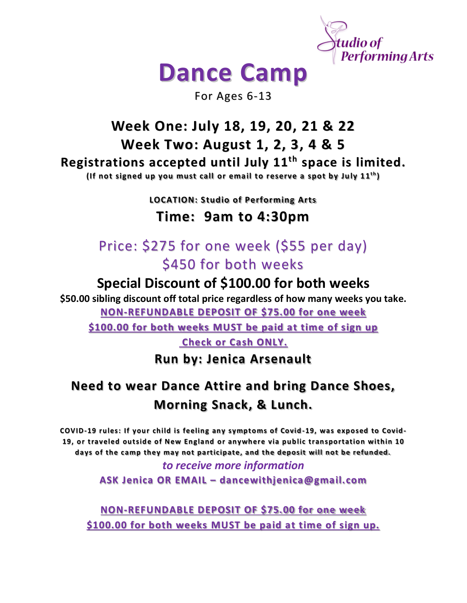

# **Dance Camp**

For Ages 6-13

#### **Week One: July 18, 19, 20, 21 & 22 Week Two: August 1, 2, 3, 4 & 5 Registrations accepted until July 11 th space is limited.** (If not signed up you must call or email to reserve a spot by July 11<sup>th</sup>)

**LOCATION: Studio of Performing Arts**

### **Time: 9am to 4:30pm**

# Price: \$275 for one week (\$55 per day) \$450 for both weeks

## **Special Discount of \$100.00 for both weeks**

**\$50.00 sibling discount off total price regardless of how many weeks you take. NON-REFUNDABLE DEPOSIT OF \$75.00 for one week** 

**\$100.00 for both weeks MUST be paid at time of sign up**

**Check or Cash ONLY.** 

**Run by: Jenica Arsenault**

# **Need to wear Dance Attire and bring Dance Shoes, Morning Snack, & Lunch.**

**COVID-19 rules: If your child is feeling any symptoms of Covid -19, was exposed to Covid-19, or traveled outside of New England or anywhere via public transportation within 10 days of the camp they may not participate, and the deposit will not be refunded.** 

#### *to receive more information* **ASK Jenica OR EMAIL – dancewithjenica@gmail.com**

**NON-REFUNDABLE DEPOSIT OF \$75.00 for one week \$100.00 for both weeks MUST be paid at time of sign up.**